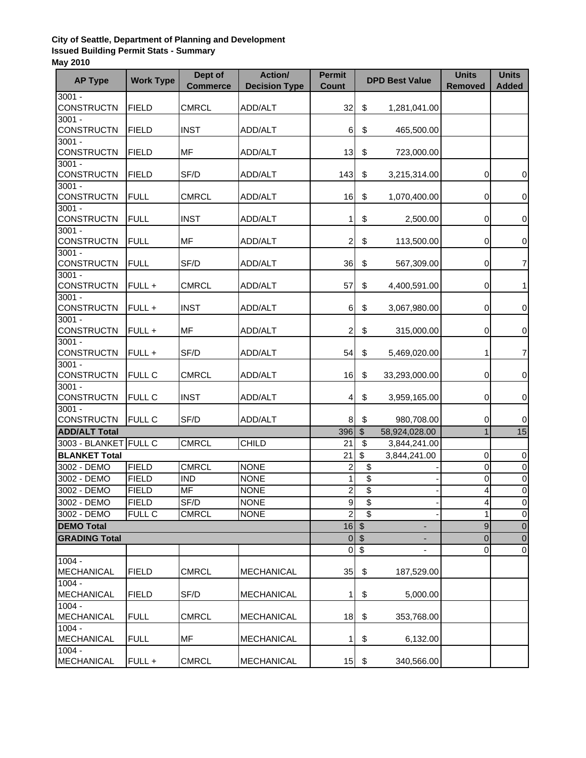## **City of Seattle, Department of Planning and Development Issued Building Permit Stats - Summary May 2010**

| <b>AP Type</b>                | <b>Work Type</b> | Dept of<br><b>Commerce</b> | Action/<br><b>Decision Type</b> | <b>Permit</b><br><b>Count</b> |                           | <b>DPD Best Value</b>    | <b>Units</b><br><b>Removed</b> | <b>Units</b><br><b>Added</b> |
|-------------------------------|------------------|----------------------------|---------------------------------|-------------------------------|---------------------------|--------------------------|--------------------------------|------------------------------|
| $3001 -$                      |                  |                            |                                 |                               |                           |                          |                                |                              |
| <b>CONSTRUCTN</b>             | <b>FIELD</b>     | <b>CMRCL</b>               | ADD/ALT                         | 32                            | \$                        | 1,281,041.00             |                                |                              |
| $3001 -$                      |                  |                            |                                 |                               |                           |                          |                                |                              |
| <b>CONSTRUCTN</b>             | <b>FIELD</b>     | <b>INST</b>                | ADD/ALT                         | 6                             | \$                        | 465,500.00               |                                |                              |
| $3001 -$                      |                  |                            |                                 |                               |                           |                          |                                |                              |
| <b>CONSTRUCTN</b>             | <b>FIELD</b>     | MF                         | ADD/ALT                         | 13                            | \$                        | 723,000.00               |                                |                              |
| $3001 -$<br><b>CONSTRUCTN</b> | <b>FIELD</b>     | SF/D                       | ADD/ALT                         | 143                           | \$                        | 3,215,314.00             | 0                              | 0                            |
| $3001 -$                      |                  |                            |                                 |                               |                           |                          |                                |                              |
| <b>CONSTRUCTN</b>             | <b>FULL</b>      | <b>CMRCL</b>               | ADD/ALT                         | 16                            | \$                        | 1,070,400.00             | 0                              | 0                            |
| $3001 -$                      |                  |                            |                                 |                               |                           |                          |                                |                              |
| <b>CONSTRUCTN</b>             | <b>FULL</b>      | <b>INST</b>                | ADD/ALT                         | 1                             | \$                        | 2,500.00                 | 0                              | $\pmb{0}$                    |
| $3001 -$                      |                  |                            |                                 |                               |                           |                          |                                |                              |
| <b>CONSTRUCTN</b>             | <b>FULL</b>      | MF                         | ADD/ALT                         | 2                             | \$                        | 113,500.00               | 0                              | 0                            |
| $3001 -$                      |                  |                            |                                 |                               |                           |                          |                                |                              |
| <b>CONSTRUCTN</b>             | <b>FULL</b>      | SF/D                       | ADD/ALT                         | 36                            | \$                        | 567,309.00               | 0                              | 7                            |
| $3001 -$                      |                  |                            |                                 |                               |                           |                          |                                |                              |
| <b>CONSTRUCTN</b>             | FULL +           | <b>CMRCL</b>               | ADD/ALT                         | 57                            | \$                        | 4,400,591.00             | 0                              | 1                            |
| $3001 -$                      |                  |                            |                                 |                               |                           |                          |                                |                              |
| <b>CONSTRUCTN</b>             | FULL +           | <b>INST</b>                | ADD/ALT                         | 6                             | \$                        | 3,067,980.00             | 0                              | $\pmb{0}$                    |
| $3001 -$                      |                  | MF                         |                                 |                               |                           |                          |                                | $\pmb{0}$                    |
| <b>CONSTRUCTN</b><br>$3001 -$ | FULL +           |                            | ADD/ALT                         | 2                             | \$                        | 315,000.00               | 0                              |                              |
| <b>CONSTRUCTN</b>             | FULL +           | SF/D                       | ADD/ALT                         | 54                            | \$                        | 5,469,020.00             | 1                              | 7                            |
| $3001 -$                      |                  |                            |                                 |                               |                           |                          |                                |                              |
| <b>CONSTRUCTN</b>             | <b>FULL C</b>    | <b>CMRCL</b>               | ADD/ALT                         | 16                            | \$                        | 33,293,000.00            | 0                              | $\pmb{0}$                    |
| $3001 -$                      |                  |                            |                                 |                               |                           |                          |                                |                              |
| <b>CONSTRUCTN</b>             | <b>FULL C</b>    | <b>INST</b>                | ADD/ALT                         | 4                             | \$                        | 3,959,165.00             | 0                              | $\pmb{0}$                    |
| $3001 -$                      |                  |                            |                                 |                               |                           |                          |                                |                              |
| <b>CONSTRUCTN</b>             | <b>FULL C</b>    | SF/D                       | ADD/ALT                         | 8                             | \$                        | 980,708.00               | 0                              | $\pmb{0}$                    |
| <b>ADD/ALT Total</b>          |                  |                            |                                 | 396                           | $\sqrt[6]{\frac{1}{2}}$   | 58,924,028.00            | $\mathbf{1}$                   | 15                           |
| 3003 - BLANKET FULL C         |                  | <b>CMRCL</b>               | <b>CHILD</b>                    | 21                            | $\boldsymbol{\mathsf{S}}$ | 3,844,241.00             |                                |                              |
| <b>BLANKET Total</b>          |                  |                            |                                 | 21                            | \$                        | 3,844,241.00             | 0                              | 0                            |
| 3002 - DEMO                   | <b>FIELD</b>     | <b>CMRCL</b>               | <b>NONE</b>                     | $\overline{c}$                | \$                        |                          | 0                              | $\overline{0}$               |
| 3002 - DEMO                   | <b>FIELD</b>     | <b>IND</b>                 | <b>NONE</b>                     | 1                             | $\overline{\mathbf{e}}$   |                          | $\Omega$                       | $\pmb{0}$                    |
| 3002 - DEMO                   | <b>FIELD</b>     | <b>MF</b>                  | <b>NONE</b>                     | $\overline{\mathbf{c}}$       | \$                        |                          | 4                              | $\overline{0}$               |
| 3002 - DEMO                   | <b>FIELD</b>     | SF/D                       | <b>NONE</b>                     | $\overline{9}$                | \$                        |                          | $\vert$                        | $\overline{0}$               |
| 3002 - DEMO                   | FULL C           | <b>CMRCL</b>               | <b>NONE</b>                     | $\overline{2}$                | $\overline{\$}$           |                          | $\mathbf{1}$                   | $\boldsymbol{0}$             |
| <b>DEMO Total</b>             |                  |                            |                                 |                               | $16$ \$                   |                          | $\boldsymbol{9}$               | $\boldsymbol{0}$             |
| <b>GRADING Total</b>          |                  |                            |                                 |                               | $0$ \$                    |                          | 0                              | $\mathbf 0$                  |
|                               |                  |                            |                                 | $\mathbf 0$                   | $\sqrt[6]{\frac{1}{2}}$   | $\overline{\phantom{a}}$ | $\mathbf 0$                    | $\mathbf 0$                  |
| $1004 -$                      |                  |                            |                                 |                               |                           |                          |                                |                              |
| <b>MECHANICAL</b>             | <b>FIELD</b>     | <b>CMRCL</b>               | <b>MECHANICAL</b>               | 35                            | \$                        | 187,529.00               |                                |                              |
| $1004 -$                      |                  |                            |                                 |                               |                           |                          |                                |                              |
| <b>MECHANICAL</b>             | <b>FIELD</b>     | SF/D                       | <b>MECHANICAL</b>               | 1                             | \$                        | 5,000.00                 |                                |                              |
| $1004 -$                      |                  |                            |                                 |                               |                           |                          |                                |                              |
| <b>MECHANICAL</b>             | <b>FULL</b>      | <b>CMRCL</b>               | <b>MECHANICAL</b>               | 18                            | \$                        | 353,768.00               |                                |                              |
| $1004 -$<br><b>MECHANICAL</b> | <b>FULL</b>      | MF                         | <b>MECHANICAL</b>               | 1                             | \$                        | 6,132.00                 |                                |                              |
| $1004 -$                      |                  |                            |                                 |                               |                           |                          |                                |                              |
| <b>MECHANICAL</b>             | FULL +           | <b>CMRCL</b>               | <b>MECHANICAL</b>               | 15                            | \$                        | 340,566.00               |                                |                              |
|                               |                  |                            |                                 |                               |                           |                          |                                |                              |